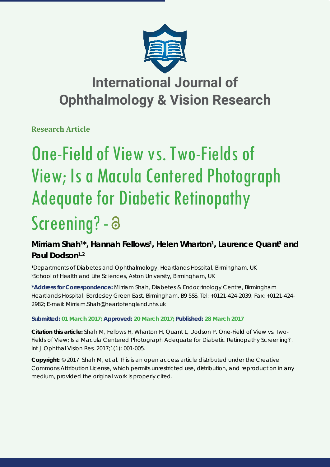

## **International Journal of Ophthalmology & Vision Research**

**Research Article**

# One-Field of View vs. Two-Fields of View; Is a Macula Centered Photograph Adequate for Diabetic Retinopathy Screening? - a

## Mirriam Shah<sup>1\*</sup>, Hannah Fellows<sup>1</sup>, Helen Wharton<sup>1</sup>, Laurence Quant<sup>1</sup> and Paul Dodson<sup>1,2</sup>

<sup>1</sup>Departments of Diabetes and Ophthalmology, Heartlands Hospital, Birmingham, UK *²School of Health and Life Sciences, Aston University, Birmingham, UK*

**\*Address for Correspondence:** Mirriam Shah, Diabetes & Endocrinology Centre, Birmingham Heartlands Hospital, Bordesley Green East, Birmingham, B9 5SS, Tel: +0121-424-2039; Fax: +0121-424- 2982; E-mail: Mirriam.Shah@heartofengland.nhs.uk

## **Submitted: 01 March 2017; Approved: 20 March 2017; Published: 28 March 2017**

**Citation this article:** Shah M, Fellows H, Wharton H, Quant L, Dodson P. One-Field of View vs. Two-Fields of View; Is a Macula Centered Photograph Adequate for Diabetic Retinopathy Screening?. Int J Ophthal Vision Res. 2017;1(1): 001-005.

**Copyright:** © 2017 Shah M, et al. This is an open access article distributed under the Creative Commons Attribution License, which permits unrestricted use, distribution, and reproduction in any medium, provided the original work is properly cited.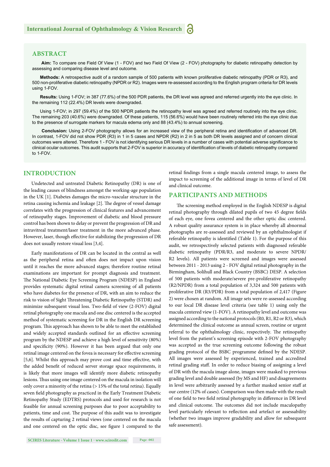## **ABSTRACT**

 **Aim:** To compare one Field Of View (1 - FOV) and two Field Of View (2 - FOV) photography for diabetic retinopathy detection by assessing and comparing disease level and outcome.

**Methods:** A retrospective audit of a random sample of 500 patients with known proliferative diabetic retinopathy (PDR or R3), and 500 non-proliferative diabetic retinopathy (NPDR or R2). Images were re-assessed according to the English program criteria for DR levels using 1-FOV.

**Results:** Using 1-FOV; in 387 (77.6%) of the 500 PDR patients, the DR level was agreed and referred urgently into the eye clinic. In the remaining 112 (22.4%) DR levels were downgraded.

Using 1-FOV; in 297 (59.4%) of the 500 NPDR patients the retinopathy level was agreed and referred routinely into the eye clinic. The remaining 203 (40.6%) were downgraded. Of these patients, 115 (56.6%) would have been routinely referred into the eye clinic due to the presence of surrogate markers for macula edema only and 88 (43.4%) to annual screening.

Conclusion: Using 2-FOV photography allows for an increased view of the peripheral retina and identification of advanced DR. In contrast, 1-FOV did not show PDR (R3) in 1 in 5 cases and NPDR (R2) in 2 in 5 as both DR levels assigned and of concern clinical outcomes were altered. Therefore 1 - FOV is not identifying serious DR levels in a number of cases with potential adverse significance to clinical ocular outcomes. This audit supports that 2-FOV is superior in accuracy of identification of levels of diabetic retinopathy compared to 1-FOV.

## **INTRODUCTION**

Undetected and untreated Diabetic Retinopathy (DR) is one of the leading causes of blindness amongst the working-age population in the UK [1]. Diabetes damages the micro-vascular structure in the retina causing ischemia and leakage [2]. The degree of vessel damage correlates with the progression of clinical features and advancement of retinopathy stages. Improvement of diabetic and blood pressure control has been shown to delay or prevent the progression of DR and intravitreal treatment/laser treatment in the more advanced phase. However, laser, though effective for stabilizing the progression of DR does not usually restore visual loss [3,4].

Early manifestations of DR can be located in the central as well as the peripheral retina and often does not impact upon vision until it reaches the more advanced stages; therefore routine retinal examinations are important for prompt diagnosis and treatment. The National Diabetic Eye Screening Program (NDESP) in England provides systematic digital retinal camera screening of all patients who have diabetes for the presence of DR, with an aim to reduce the risk to vision of Sight Threatening Diabetic Retinopathy (STDR) and minimize subsequent visual loss. Two-field of view (2-FOV) digital retinal photography one macula and one disc centered is the accepted method of systematic screening for DR in the English DR screening program. This approach has shown to be able to meet the established and widely accepted standards outlined for an effective screening program by the NDESP and achieve a high level of sensitivity (80%) and specificity (90%). However it has been argued that only one retinal image centered on the fovea is necessary for effective screening [5,6]. Whilst this approach may prove cost and time effective, with the added benefit of reduced server storage space requirements, it is likely that more images will identify more diabetic retinopathy lesions. Thus using one image centered on the macula in isolation will only cover a minority of the retina (> 15% of the total retina). Equally seven field photography as practiced in the Early Treatment Diabetic Retinopathy Study (EDTRS) protocols and used for research is not feasible for annual screening purposes due to poor acceptability to patients, time and cost. The purpose of this audit was to investigate the results of capturing 2 retinal views (one centered on the macula and one centered on the optic disc, see figure 1 compared to the

retinal findings from a single macula centered image, to assess the impact to screening of the additional image in terms of level of DR and clinical outcome.

## **PARTICIPANTS AND METHODS**

The screening method employed in the English NDESP is digital retinal photography through dilated pupils of two 45 degree fields of each eye, one fovea centered and the other optic disc centered. A robust quality assurance system is in place whereby all abnormal photographs are re-assessed and reviewed by an ophthalmologist if referable retinopathy is identified (Table 1). For the purpose of this audit, we retrospectively selected patients with diagnosed referable diabetic retinopathy (PDR/R3, and moderate to severe NPDR/ R2 levels). All patients were screened and images were assessed between 2011 - 2013 using 2 - FOV digital retinal photography in the Birmingham, Solihull and Black Country (BSBC) DESP. A selection of 500 patients with moderate/severe pre-proliferative retinopathy (R2/NPDR) from a total population of 3,324 and 500 patients with proliferative DR (R3/PDR) from a total population of 2,417 (Figure 2) were chosen at random. All image sets were re-assessed according to our local DR disease level criteria (see table 1) using only the macula centered view (1-FOV). A retinopathy level and outcome was assigned according to the national protocols (R0, R1, R2 or R3), which determined the clinical outcome as annual screen, routine or urgent referral to the ophthalmology clinic, respectively. The retinopathy level from the patient's screening episode with 2-FOV photography was accepted as the true screening outcome following the robust grading protocol of the BSBC programme defined by the NDESP. All images were assessed by experienced, trained and accredited retinal grading staff. In order to reduce biasing of assigning a level of DR with the macula image alone, images were masked to previous grading level and double assessed (by MS and HF) and disagreements in level were arbitrarily assessed by a further masked senior staff at our centre (12% of cases). Comparison was then made with the result of one field to two field retinal photography in difference in DR level and clinical outcome. The outcomes did not include maculopathy level particularly relevant to reflection and artefact or assessability (whether two images improve gradability and allow for subsequent safe assessment).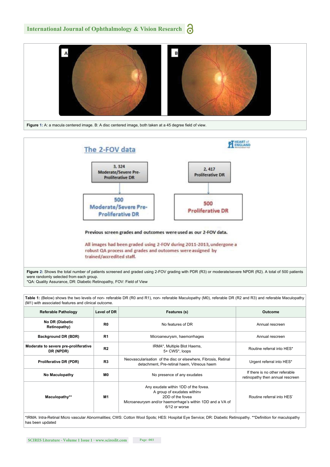





\*QA: Quality Assurance, DR: Diabetic Retinopathy, FOV: Field of View

**Table 1:** (Below) shows the two levels of non- referable DR (R0 and R1), non- referable Maculopathy (M0), referable DR (R2 and R3) and referable Maculopathy (M1) with associated features and clinical outcome.

| <b>Referable Pathology</b>                        | Level of DR    | Features (s)                                                                                                                                                          | Outcome                                                            |
|---------------------------------------------------|----------------|-----------------------------------------------------------------------------------------------------------------------------------------------------------------------|--------------------------------------------------------------------|
| No DR (Diabetic<br>Retinopathy)                   | R <sub>0</sub> | No features of DR                                                                                                                                                     | Annual rescreen                                                    |
| Background DR (BDR)                               | R <sub>1</sub> | Microaneurysm, haemorrhages                                                                                                                                           | Annual rescreen                                                    |
| Moderate to severe pre-proliferative<br>DR (NPDR) | R <sub>2</sub> | IRMA*, Multiple Blot Haems,<br>5+ CWS*, loops                                                                                                                         | Routine referral into HES*                                         |
| <b>Proliferative DR (PDR)</b>                     | R3             | Neovascularisation of the disc or elsewhere, Fibrosis, Retinal<br>detachment, Pre-retinal haem, Vitreous haem                                                         | Urgent referral into HES*                                          |
| No Maculopathy                                    | M0             | No presence of any exudates                                                                                                                                           | If there is no other referable<br>retinopathy then annual rescreen |
| Maculopathy**                                     | M1             | Any exudate within 1DD of the fovea.<br>A group of exudates withinv<br>2DD of the fovea<br>Microaneurysm and/or haemorrhage's within 1DD and a VA of<br>6/12 or worse | Routine referral into HES*                                         |

\*IRMA: Intra-Retinal Micro vascular Abnormalities; CWS: Cotton Wool Spots; HES: Hospital Eye Service; DR: Diabetic Retinopathy. \*\*Definition for maculopathy has been updated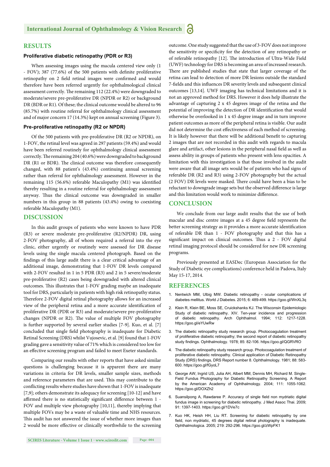## **RESULTS**

### **Proliferative diabetic retinopathy (PDR or R3)**

When assessing images using the macula centered view only (1 - FOV); 387 (77.6%) of the 500 patients with definite proliferative retinopathy on 2 field retinal images were confirmed and would therefore have been referred urgently for ophthalmological clinical assessment correctly. The remaining 112 (22.4%) were downgraded to moderate/severe pre-proliferative DR (NPDR or R2) or background DR (BDR or R1). Of these; the clinical outcome would be altered to 96 (85.7%) with routine referral for ophthalmology clinical assessment and of major concern 17 (14.3%) kept on annual screening (Figure 3).

#### **Pre-proliferative retinopathy (R2 or NPDR)**

Of the 500 patients with pre-proliferative DR (R2 or NPDR), on 1-FOV, the retinal level was agreed in 297 patients (59.4%) and would have been referred routinely for ophthalmology clinical assessment correctly. The remaining 204 (40.6%) were downgraded to background DR (R1 or BDR). The clinical outcome was therefore consequently changed, with 88 patient's (43.4%) continuing annual screening rather than referral for ophthalmology assessment. However in the remaining 115 (56.6%) referable Maculopathy (M1) was identified thereby resulting in a routine referral for ophthalmology assessment anyway. Thus the clinical outcome was downgraded in smaller numbers in this group in 88 patients (43.4%) owing to coexisting referable Maculopathy (M1).

## **DISCUSSION**

In this audit groups of patients who were known to have PDR (R3) or severe moderate pre-proliferative (R2/NPDR) DR, using 2-FOV photography, all of whom required a referral into the eye clinic, either urgently or routinely were assessed for DR disease levels using the single macula centered photograph. Based on the findings of this large audit there is a clear critical advantage of an additional image, demonstrating that 1-FOV DR levels compared with 2-FOV resulted in 1 in 5 PDR (R3) and 2 in 5 severe/moderate pre-proliferative (R2) cases being downgraded with altered clinical outcomes. This illustrates that 1-FOV grading maybe an inadequate tool for DRS, particularly in patients with high risk retinopathy status. Therefore 2-FOV digital retinal photography allows for an increased view of the peripheral retina and a more accurate identification of proliferative DR (PDR or R3) and moderate/severe pre-proliferative changes (NPDR or R2). The value of multiple FOV photography is further supported by several earlier studies [7-9]. Kuo, et al. [7] concluded that single field photography is inadequate for Diabetic Retinal Screening (DRS) whilst Vujosevic, et al. [9] found that 1-FOV grading gave a sensitivity value of 71% which is considered too low for an effective screening program and failed to meet Exeter standards.

Comparing our results with other reports that have asked similar questions is challenging because it is apparent there are many variations in criteria for DR levels, smaller sample sizes, methods and reference parameters that are used. This may contribute to the conflicting results where studies have shown that 1-FOV is inadequate [7,9]; others demonstrate its adequacy for screening [10-12] and have affirmed there is no statistically significant difference between 1 -FOV and multiple view photography [10,11], thereby implying that multiple FOVs may be a waste of valuable time and NHS resources. This audit has not answered the issue of whether more images than 2 would be more effective or clinically worthwhile to the screening outcome. One study suggested that the use of 3-FOV does not improve the sensitivity or specificity for the detection of any retinopathy or of referable retinopathy [12]. The introduction of Ultra-Wide Field (UWF) technology for DRS is becoming an area of increased research. There are published studies that state that larger coverage of the retina can lead to detection of more DR lesions outside the standard 7-fields and this influences DR severity levels and subsequent clinical outcomes [13,14]. UWF imaging has technical limitations and it is not an approved method for DRS. However it does help illustrate the advantage of capturing 2 x 45 degrees image of the retina and the potential of improving the detection of DR identification that would otherwise be overlooked in 1 x 45 degree image and in turn improve patient outcomes as more of the peripheral retina is visible. Our audit did not determine the cost effectiveness of each method of screening. It is likely however that there will be additional benefit to capturing 2 images that are not recorded in this audit with regards to macula glare and artifact, other lesions in the peripheral nasal field as well as assess ability in groups of patients who present with lens opacities. A limitation with this investigation is that those involved in the audit were aware that all image sets would be of patients who had signs of referable DR (R2 and R3) using 2-FOV photography but the actual (2 FOV) DR levels were masked. There could have been a bias to be reluctant to downgrade image sets but the observed difference is large and this limitation would work to minimize difference.

## **CONCLUSION**

We conclude from our large audit results that the use of both macular and disc centre images at a 45 degree field represents the better screening strategy as it provides a more accurate identification of referable DR than 1 - FOV photography and that this has a significant impact on clinical outcomes. Thus a 2 - FOV digital retinal imaging protocol should be considered for new DR screening programs.

Previously presented at EASDec (European Association for the Study of Diabetic eye complications) conference held in Padova, Italy May 15-17, 2014.

#### **REFERENCES**

- 1. Nentwich MM, Ulbig MW. Diabetic retinopathy ocular complications of diabetes mellitus. World J Diabetes. 2015; 6: 489-499. https://goo.gl/WnXL3q
- 2. Klein R, Klein BE, Moss SE, Cruickshanks KJ. The Wisconsin Epidemiologic Study of diabetic retinopathy. XIV. Ten-year incidence and progression of diabetic retinopathy. Arch Ophthalmol. 1994; 112: 1217-1228. https://goo.gl/eYUwRw
- 3. The diabetic retinopathy study research group. Photocoagulation treatment of proliferative diabetic retinopathy; the second report of diabetic retinopathy study findings. Ophthalmology. 1978; 85: 82-106. https://goo.gl/QGRVRO
- 4. The diabetic retinopathy study research group. Photocoagulation treatment of proliferative diabetic retinopathy. Clinical application of Diabetic Retinopathy Study (DRS) findings, DRS Report number 8. Ophthalmology. 1981; 88: 583-600. https://goo.gl/fGyoL7
- 5. George AW, Ingrid US, Julia AH, Albert MM, Dennis MH, Richard M. Single-Field Fundus Photography for Diabetic Retinopathy Screening. A Report by the American Academy of Ophthalmology. 2004; 111: 1055-1062. https://goo.gl/DOXZh2
- 6. Suansilpong A, Rawdaree P. Accuracy of single field non mydriatic digital fundus image in screening for diabetic retinopathy. J Med Assoc Thai. 2009; 91: 1397-1403. https://goo.gl/1DVe7c
- 7. Kuo HK, Heish HH, Liu RT. Screening for diabetic retinopathy by one field, non mydriatic, 45 degrees digital retinal photography is inadequate. Ophthalmologica. 2005; 219: 292-296. https://goo.gl/zWpFK1